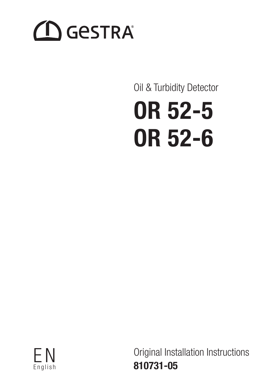# **CO** GESTRA

# Oil & Turbidity Detector

# OR 52-5 OR 52-6



Original Installation Instructions 810731-05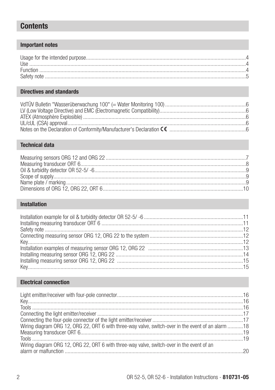## **Contents**

#### **Important notes**

## **Directives and standards**

### **Technical data**

## Installation

## **Electrical connection**

| Wiring diagram ORG 12, ORG 22, ORT 6 with three-way valve, switch-over in the event of an alarm 18 |  |
|----------------------------------------------------------------------------------------------------|--|
|                                                                                                    |  |
|                                                                                                    |  |
| Wiring diagram ORG 12, ORG 22, ORT 6 with three-way valve, switch-over in the event of an          |  |
|                                                                                                    |  |
|                                                                                                    |  |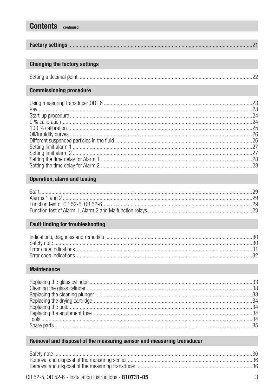#### **Changing the factory settings**

**Contents** continued

|--|

#### **Commissioning procedure**

#### Operation, alarm and testing

#### **Fault finding for troubleshooting**

#### **Maintenance**

#### Removal and disposal of the measuring sensor and measuring transducer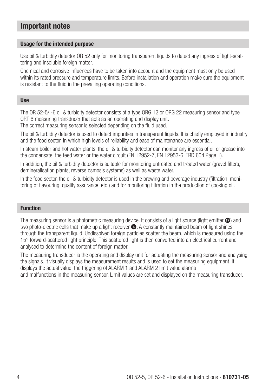## Important notes

#### Usage for the intended purpose

Use oil & turbidity detector OR 52 only for monitoring transparent liquids to detect any ingress of light-scattering and insoluble foreign matter.

Chemical and corrosive influences have to be taken into account and the equipment must only be used within its rated pressure and temperature limits. Before installation and operation make sure the equipment is resistant to the fluid in the prevailing operating conditions.

#### Use

The OR 52-5/ -6 oil & turbidity detector consists of a type ORG 12 or ORG 22 measuring sensor and type ORT 6 measuring transducer that acts as an operating and display unit.

The correct measuring sensor is selected depending on the fluid used.

The oil & turbidity detector is used to detect impurities in transparent liquids. It is chiefly employed in industry and the food sector, in which high levels of reliability and ease of maintenance are essential.

In steam boiler and hot water plants, the oil & turbidity detector can monitor any ingress of oil or grease into the condensate, the feed water or the water circuit (EN 12952-7, EN 12953-6, TRD 604 Page 1).

In addition, the oil & turbidity detector is suitable for monitoring untreated and treated water (gravel filters, demineralisation plants, reverse osmosis systems) as well as waste water.

In the food sector, the oil & turbidity detector is used in the brewing and beverage industry (filtration, monitoring of flavouring, quality assurance, etc.) and for monitoring filtration in the production of cooking oil.

#### Function

The measuring sensor is a photometric measuring device. It consists of a light source (light emitter  $\Omega$ ) and two photo-electric cells that make up a light receiver  $\bullet$ . A constantly maintained beam of light shines through the transparent liquid. Undissolved foreign particles scatter the beam, which is measured using the 15° forward-scattered light principle. This scattered light is then converted into an electrical current and analysed to determine the content of foreign matter.

The measuring transducer is the operating and display unit for actuating the measuring sensor and analysing the signals. It visually displays the measurement results and is used to set the measuring equipment. It displays the actual value, the triggering of ALARM 1 and ALARM 2 limit value alarms and malfunctions in the measuring sensor. Limit values are set and displayed on the measuring transducer.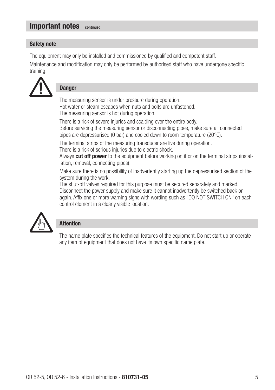## Important notes continued

#### Safety note

The equipment may only be installed and commissioned by qualified and competent staff.

Maintenance and modification may only be performed by authorised staff who have undergone specific training.



#### **Danger**

The measuring sensor is under pressure during operation. Hot water or steam escapes when nuts and bolts are unfastened. The measuring sensor is hot during operation.

There is a risk of severe injuries and scalding over the entire body. Before servicing the measuring sensor or disconnecting pipes, make sure all connected pipes are depressurised (0 bar) and cooled down to room temperature (20°C).

The terminal strips of the measuring transducer are live during operation. There is a risk of serious injuries due to electric shock.

Always cut off power to the equipment before working on it or on the terminal strips (installation, removal, connecting pipes).

Make sure there is no possibility of inadvertently starting up the depressurised section of the system during the work.

The shut-off valves required for this purpose must be secured separately and marked. Disconnect the power supply and make sure it cannot inadvertently be switched back on again. Affix one or more warning signs with wording such as "DO NOT SWITCH ON" on each control element in a clearly visible location.



#### Attention

The name plate specifies the technical features of the equipment. Do not start up or operate any item of equipment that does not have its own specific name plate.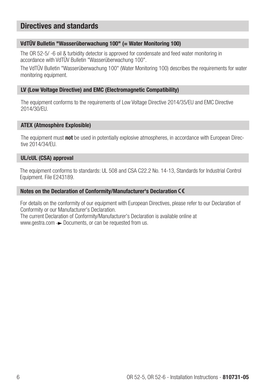## Directives and standards

#### VdTÜV Bulletin "Wasserüberwachung 100" (= Water Monitoring 100)

The OR 52-5/ -6 oil & turbidity detector is approved for condensate and feed water monitoring in accordance with VdTÜV Bulletin "Wasserüberwachung 100".

The VdTÜV Bulletin "Wasserüberwachung 100" (Water Monitoring 100) describes the requirements for water monitoring equipment.

#### LV (Low Voltage Directive) and EMC (Electromagnetic Compatibility)

The equipment conforms to the requirements of Low Voltage Directive 2014/35/EU and EMC Directive 2014/30/EU.

#### ATEX (Atmosphère Explosible)

The equipment must **not** be used in potentially explosive atmospheres, in accordance with European Directive 2014/34/EU.

#### UL/cUL (CSA) approval

The equipment conforms to standards: UL 508 and CSA C22.2 No. 14-13, Standards for Industrial Control Equipment. File E243189.

#### Notes on the Declaration of Conformity/Manufacturer's Declaration

For details on the conformity of our equipment with European Directives, please refer to our Declaration of Conformity or our Manufacturer's Declaration.

The current Declaration of Conformity/Manufacturer's Declaration is available online at www.gestra.com  $\rightarrow$  Documents, or can be requested from us.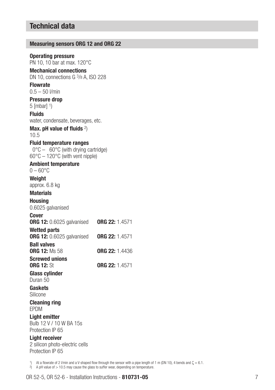## Technical data

| <b>Measuring sensors ORG 12 and ORG 22</b>                                                                                                        |                       |  |
|---------------------------------------------------------------------------------------------------------------------------------------------------|-----------------------|--|
| <b>Operating pressure</b><br>PN 10, 10 bar at max. 120°C<br><b>Mechanical connections</b>                                                         |                       |  |
| DN 10. connections G 3/8 A. ISO 228                                                                                                               |                       |  |
| <b>Flowrate</b>                                                                                                                                   |                       |  |
| $0.5 - 50$ <i>V</i> min                                                                                                                           |                       |  |
| <b>Pressure drop</b><br>$5$ [mbar] $1)$                                                                                                           |                       |  |
| <b>Fluids</b>                                                                                                                                     |                       |  |
| water, condensate, beverages, etc.                                                                                                                |                       |  |
| Max. pH value of fluids $2)$<br>10.5                                                                                                              |                       |  |
| <b>Fluid temperature ranges</b><br>$0^{\circ}$ C – 60 $^{\circ}$ C (with drying cartridge)<br>$60^{\circ}$ C $- 120^{\circ}$ C (with vent nipple) |                       |  |
| <b>Ambient temperature</b><br>$0-60^{\circ}$ C                                                                                                    |                       |  |
| Weight                                                                                                                                            |                       |  |
| approx. 6.8 kg                                                                                                                                    |                       |  |
| Materials                                                                                                                                         |                       |  |
| Housina<br>0.6025 galvanised                                                                                                                      |                       |  |
| Cover<br><b>ORG 12:</b> 0.6025 galvanised                                                                                                         | ORG 22: 1.4571        |  |
| Wetted parts<br><b>ORG 12:</b> 0.6025 galvanised                                                                                                  | ORG 22: 1.4571        |  |
| <b>Ball valves</b><br><b>ORG 12:</b> Ms 58                                                                                                        | <b>ORG 22: 1.4436</b> |  |
| <b>Screwed unions</b><br><b>ORG 12: St</b>                                                                                                        | ORG 22: 1.4571        |  |
| <b>Glass cylinder</b><br>Duran 50                                                                                                                 |                       |  |
| Gaskets<br>Silicone                                                                                                                               |                       |  |
| <b>Cleaning ring</b><br>EPDM                                                                                                                      |                       |  |
| <b>Light emitter</b><br>Bulb 12 V / 10 W BA 15s<br>Protection IP 65                                                                               |                       |  |
| <b>Light receiver</b><br>2 silicon photo-electric cells<br>Protection IP 65                                                                       |                       |  |
|                                                                                                                                                   |                       |  |

1) At a flowrate of 2 l/min and a V-shaped flow through the sensor with a pipe length of 1 m (DN 10), 4 bends and  $\zeta = 6.1$ .

2) A pH value of > 10.5 may cause the glass to suffer wear, depending on temperature.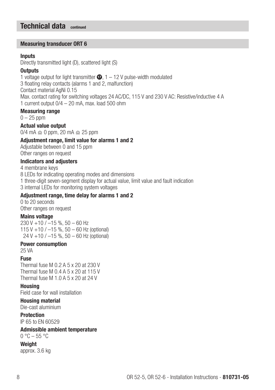## Technical data continued

#### Measuring transducer ORT 6

#### **Inputs**

Directly transmitted light (D), scattered light (S)

#### **Outputs**

1 voltage output for light transmitter  $\Phi$ , 1 – 12 V pulse-width modulated 3 floating relay contacts (alarms 1 and 2, malfunction) Contact material AgNi 0.15 Max. contact rating for switching voltages 24 AC/DC, 115 V and 230 V AC: Resistive/inductive 4 A 1 current output 0/4 – 20 mA, max. load 500 ohm

#### Measuring range

 $0 - 25$  ppm

Actual value output  $0/4$  mA  $\approx$  0 ppm, 20 mA  $\approx$  25 ppm

#### Adjustment range, limit value for alarms 1 and 2

Adjustable between 0 and 15 ppm Other ranges on request

#### Indicators and adjusters

4 membrane keys

8 LEDs for indicating operating modes and dimensions

1 three-digit seven-segment display for actual value, limit value and fault indication

3 internal LEDs for monitoring system voltages

#### Adjustment range, time delay for alarms 1 and 2

0 to 20 seconds Other ranges on request

#### Mains voltage

230 V +10 /  $-15$  %, 50 - 60 Hz 115 V +10 / –15 %, 50 – 60 Hz (optional) 24 V +10 / –15 %, 50 – 60 Hz (optional)

#### Power consumption

25 VA

#### Fuse

Thermal fuse M 0.2 A 5 x 20 at 230 V Thermal fuse M 0.4 A 5 x 20 at 115 V Thermal fuse M 1.0 A 5 x 20 at 24 V

Housing

Field case for wall installation

#### Housing material

Die-cast aluminium

#### Protection

IP 65 to EN 60529

#### Admissible ambient temperature

 $0 °C - 55 °C$ 

**Weight**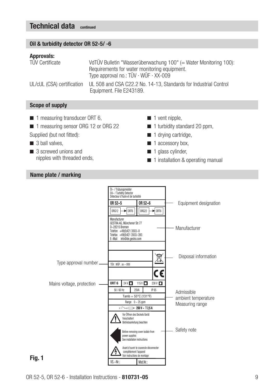## Technical data continued

#### Oil & turbidity detector OR 52-5/ -6

#### Approvals:

| <b>TÜV Certificate</b>     | VdTÜV Bulletin "Wasserüberwachung 100" (= Water Monitoring 100):                             |  |  |
|----------------------------|----------------------------------------------------------------------------------------------|--|--|
|                            | Requirements for water monitoring equipment.                                                 |  |  |
|                            | Type approval no.: TÜV · WÜF · XX-009                                                        |  |  |
| UL/cUL (CSA) certification | UL 508 and CSA C22.2 No. 14-13. Standards for Industrial Control<br>Equipment. File E243189. |  |  |

#### Scope of supply

- $\blacksquare$  1 measuring transducer ORT 6,
- 1 measuring sensor ORG 12 or ORG 22
- Supplied (but not fitted):
- $\Box$  3 ball valves.
- 3 screwed unions and nipples with threaded ends,
- $\blacksquare$  1 vent nipple.
- $\blacksquare$  1 turbidity standard 20 ppm.
- $\blacksquare$  1 drving cartridge,
- $\blacksquare$  1 accessory box,
- $\blacksquare$  1 glass cylinder,
- 1 installation & operating manual

#### Name plate / marking

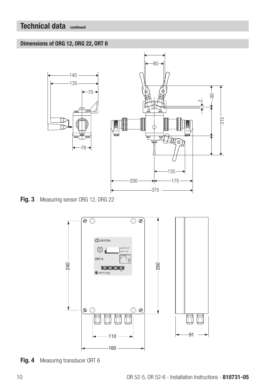## Technical data continued

#### Dimensions of ORG 12, ORG 22, ORT 6



Fig. 3 Measuring sensor ORG 12, ORG 22



Fig. 4 Measuring transducer ORT 6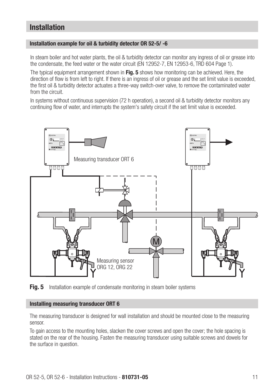## Installation

#### Installation example for oil & turbidity detector OR 52-5/ -6

In steam boiler and hot water plants, the oil & turbidity detector can monitor any ingress of oil or grease into the condensate, the feed water or the water circuit (EN 12952-7, EN 12953-6, TRD 604 Page 1).

The typical equipment arrangement shown in Fig. 5 shows how monitoring can be achieved. Here, the direction of flow is from left to right. If there is an ingress of oil or grease and the set limit value is exceeded, the first oil & turbidity detector actuates a three-way switch-over valve, to remove the contaminated water from the circuit.

In systems without continuous supervision (72 h operation), a second oil & turbidity detector monitors any continuing flow of water, and interrupts the system's safety circuit if the set limit value is exceeded.



Fig. 5 Installation example of condensate monitoring in steam boiler systems

#### Installing measuring transducer ORT 6

The measuring transducer is designed for wall installation and should be mounted close to the measuring sensor.

To gain access to the mounting holes, slacken the cover screws and open the cover; the hole spacing is stated on the rear of the housing. Fasten the measuring transducer using suitable screws and dowels for the surface in question.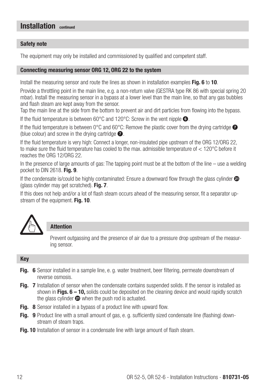#### Safety note

The equipment may only be installed and commissioned by qualified and competent staff.

#### Connecting measuring sensor ORG 12, ORG 22 to the system

Install the measuring sensor and route the lines as shown in installation examples Fig. 6 to 10.

Provide a throttling point in the main line, e.g. a non-return valve (GESTRA type RK 86 with special spring 20 mbar). Install the measuring sensor in a bypass at a lower level than the main line, so that any gas bubbles and flash steam are kept away from the sensor.

Tap the main line at the side from the bottom to prevent air and dirt particles from flowing into the bypass.

If the fluid temperature is between 60 $^{\circ}$ C and 120 $^{\circ}$ C: Screw in the vent nipple  $\bullet$ .

If the fluid temperature is between 0°C and 60°C: Remove the plastic cover from the drying cartridge  $\bullet$ (blue colour) and screw in the drying cartridge  $\bullet$ .

If the fluid temperature is very high: Connect a longer, non-insulated pipe upstream of the ORG 12/ORG 22, to make sure the fluid temperature has cooled to the max. admissible temperature of < 120°C before it reaches the ORG 12/ORG 22.

In the presence of large amounts of gas: The tapping point must be at the bottom of the line – use a welding pocket to DIN 2618. Fig. 9.

If the condensate is/could be highly contaminated: Ensure a downward flow through the glass cylinder  $\circledast$ (glass cylinder may get scratched). Fig. 7.

If this does not help and/or a lot of flash steam occurs ahead of the measuring sensor, fit a separator upstream of the equipment. Fig. 10.



#### Attention

Prevent outgassing and the presence of air due to a pressure drop upstream of the measuring sensor.

#### Key

- **Fig. 6** Sensor installed in a sample line, e. g. water treatment, beer filtering, permeate downstream of reverse osmosis.
- Fig. 7 Installation of sensor when the condensate contains suspended solids. If the sensor is installed as shown in Figs.  $6 - 10$ , solids could be deposited on the cleaning device and would rapidly scratch the glass cylinder  $\bigcirc$  when the push rod is actuated.
- Fig. 8 Sensor installed in a bypass of a product line with upward flow.
- Fig. 9 Product line with a small amount of gas, e. g. sufficiently sized condensate line (flashing) downstream of steam traps.
- **Fig. 10** Installation of sensor in a condensate line with large amount of flash steam.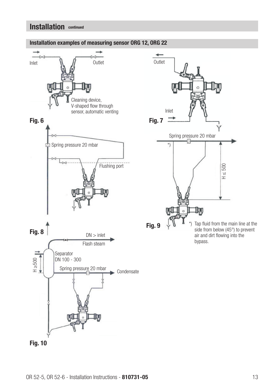

#### Installation examples of measuring sensor ORG 12, ORG 22

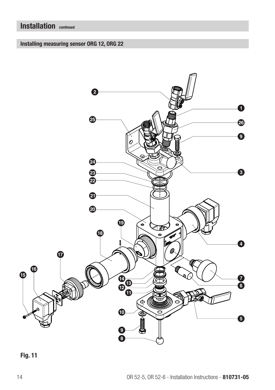## Installing measuring sensor ORG 12, ORG 22

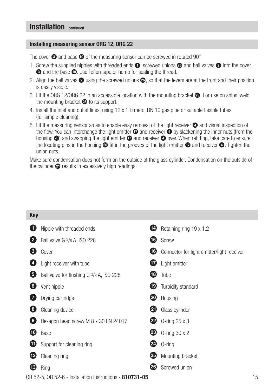#### Installing measuring sensor ORG 12, ORG 22

The cover  $\odot$  and base  $\odot$  of the measuring sensor can be screwed in rotated 90 $^{\circ}$ .

- 1. Screw the supplied nipples with threaded ends  $\bullet$ , screwed unions  $\bullet$  and ball valves  $\bullet$  into the cover **3** and the base **10**. Use Teflon tape or hemp for sealing the thread.
- 2. Align the ball valves  $\bullet$  using the screwed unions  $\bullet$ , so that the levers are at the front and their position is easily visible.
- 3. Fit the ORG 12/ORG 22 in an accessible location with the mounting bracket  $\bullet$ . For use on ships, weld the mounting bracket  $\bullet$  to its support.
- 4. Install the inlet and outlet lines, using 12 x 1 Ermeto, DN 10 gas pipe or suitable flexible tubes (for simple cleaning).
- 5. Fit the measuring sensor so as to enable easy removal of the light receiver  $\bullet$  and visual inspection of the flow. You can interchange the light emitter  $\bullet$  and receiver  $\bullet$  by slackening the inner nuts (from the housing  $\circledcirc$ ) and swapping the light emitter  $\circledcirc$  and receiver  $\circledcirc$  over. When refitting, take care to ensure the locating pins in the housing  $\circledcirc$  fit in the grooves of the light emitter  $\circledcirc$  and receiver  $\circledcirc$ . Tighten the union nuts.

Make sure condensation does not form on the outside of the glass cylinder. Condensation on the outside of the cylinder  $\bullet$  results in excessively high readings.

| <b>Key</b>   |                                                                 |           |                                            |    |
|--------------|-----------------------------------------------------------------|-----------|--------------------------------------------|----|
| $\mathbf{1}$ | Nipple with threaded ends                                       | Ø         | Retaining ring 19 x 1.2                    |    |
| 2            | Ball valve G 3/8 A, ISO 228                                     | t         | Screw                                      |    |
| 3)           | Cover                                                           | (ib)      | Connector for light emitter/light receiver |    |
| 4)           | Light receiver with tube                                        | Ø         | Light emitter                              |    |
| 0            | Ball valve for flushing G 3/8 A, ISO 228                        | t8        | Tube                                       |    |
| 6            | Vent nipple                                                     | ⊕         | Turbidity standard                         |    |
|              | Drying cartridge                                                | න         | Housing                                    |    |
| 8)           | Cleaning device                                                 | (21)      | Glass cylinder                             |    |
| O            | Hexagon head screw M 8 x 30 EN 24017                            | $^{(22)}$ | 0-ring 25 x 3                              |    |
| ⅏            | Base                                                            | 23)       | O-ring $30 \times 2$                       |    |
| W            | Support for cleaning ring                                       | (24)      | $0$ -ring                                  |    |
| ℗            | Cleaning ring                                                   | 25        | Mounting bracket                           |    |
| ®            | Ring                                                            | 126       | Screwed union                              |    |
|              | OR 52-5, OR 52-6 - Installation Instructions - <b>810731-05</b> |           |                                            | 15 |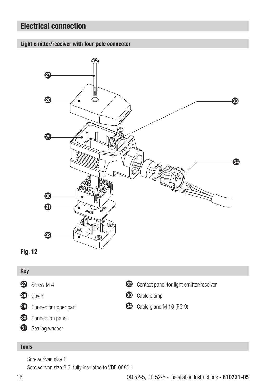## Electrical connection





#### Tools

Key

Screwdriver, size 1

**1** Sealing washer

Screwdriver, size 2.5, fully insulated to VDE 0680-1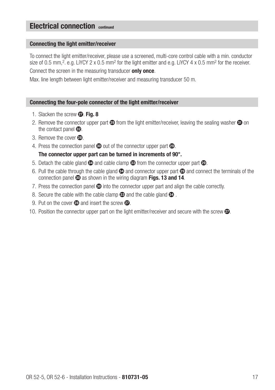#### Connecting the light emitter/receiver

To connect the light emitter/receiver, please use a screened, multi-core control cable with a min. conductor size of 0.5 mm,<sup>2</sup>, e.g. LiYCY 2 x 0.5 mm<sup>2</sup> for the light emitter and e.g. LiYCY 4 x 0.5 mm<sup>2</sup> for the receiver. Connect the screen in the measuring transducer only once.

Max. line length between light emitter/receiver and measuring transducer 50 m.

#### Connecting the four-pole connector of the light emitter/receiver

- 1. Slacken the screw  $\omega$ . Fig. 8
- 2. Remove the connector upper part  $\circledast$  from the light emitter/receiver, leaving the sealing washer  $\circledast$  on the contact panel **B**.
- 3. Remove the cover 23
- 4. Press the connection panel  $\omega$  out of the connector upper part  $\omega$ .

#### The connector upper part can be turned in increments of 90°.

- 5. Detach the cable gland  $\otimes$  and cable clamp  $\otimes$  from the connector upper part  $\otimes$ .
- 6. Pull the cable through the cable gland  $\circledast$  and connector upper part  $\circledast$  and connect the terminals of the connection panel  $\odot$  as shown in the wiring diagram Figs. 13 and 14.
- 7. Press the connection panel  $\odot$  into the connector upper part and align the cable correctly.
- 8. Secure the cable with the cable clamp  $\otimes$  and the cable gland  $\otimes$ .
- 9. Put on the cover  $\omega$  and insert the screw  $\omega$ .
- 10. Position the connector upper part on the light emitter/receiver and secure with the screw  $\mathbf{\Phi}$ .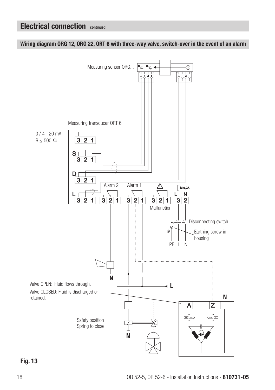Wiring diagram ORG 12, ORG 22, ORT 6 with three-way valve, switch-over in the event of an alarm



Fig. 13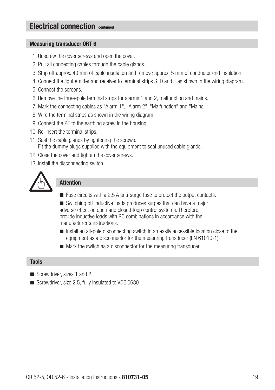#### Measuring transducer ORT 6

- 1. Unscrew the cover screws and open the cover.
- 2. Pull all connecting cables through the cable glands.
- 3. Strip off approx. 40 mm of cable insulation and remove approx. 5 mm of conductor end insulation.
- 4. Connect the light emitter and receiver to terminal strips S, D and L as shown in the wiring diagram.
- 5. Connect the screens.
- 6. Remove the three-pole terminal strips for alarms 1 and 2, malfunction and mains.
- 7. Mark the connecting cables as "Alarm 1", "Alarm 2", "Malfunction" and "Mains".
- 8. Wire the terminal strips as shown in the wiring diagram.
- 9. Connect the PE to the earthing screw in the housing.
- 10. Re-insert the terminal strips.
- 11 Seal the cable glands by tightening the screws. Fit the dummy plugs supplied with the equipment to seal unused cable glands.
- 12. Close the cover and tighten the cover screws.
- 13. Install the disconnecting switch.



#### Attention

 $\blacksquare$  Fuse circuits with a 2.5 A anti-surge fuse to protect the output contacts.

 $\blacksquare$  Switching off inductive loads produces surges that can have a major adverse effect on open and closed-loop control systems. Therefore, provide inductive loads with RC combinations in accordance with the manufacturer's instructions.

- n Install an all-pole disconnecting switch in an easily accessible location close to the equipment as a disconnector for the measuring transducer (EN 61010-1).
- $\blacksquare$  Mark the switch as a disconnector for the measuring transducer.

#### Tools

- Screwdriver, sizes 1 and 2
- Screwdriver, size 2.5, fully insulated to VDE 0680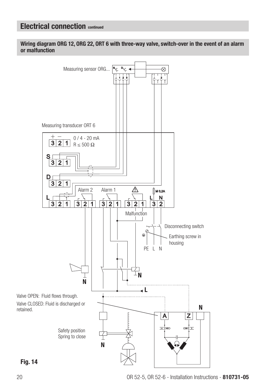Wiring diagram ORG 12, ORG 22, ORT 6 with three-way valve, switch-over in the event of an alarm or malfunction



Fig. 14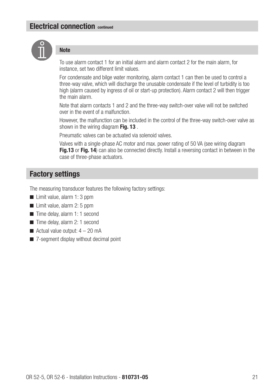

#### **Note**

To use alarm contact 1 for an initial alarm and alarm contact 2 for the main alarm, for instance, set two different limit values.

For condensate and bilge water monitoring, alarm contact 1 can then be used to control a three-way valve, which will discharge the unusable condensate if the level of turbidity is too high (alarm caused by ingress of oil or start-up protection). Alarm contact 2 will then trigger the main alarm.

Note that alarm contacts 1 and 2 and the three-way switch-over valve will not be switched over in the event of a malfunction.

However, the malfunction can be included in the control of the three-way switch-over valve as shown in the wiring diagram Fig. 13.

Pneumatic valves can be actuated via solenoid valves.

Valves with a single-phase AC motor and max. power rating of 50 VA (see wiring diagram Fig. 13 or Fig. 14) can also be connected directly. Install a reversing contact in between in the case of three-phase actuators.

## Factory settings

The measuring transducer features the following factory settings:

- $\blacksquare$  Limit value, alarm 1: 3 ppm
- $\blacksquare$  Limit value, alarm 2: 5 ppm
- $\blacksquare$  Time delay, alarm 1: 1 second
- $\blacksquare$  Time delay, alarm 2: 1 second
- $\blacksquare$  Actual value output:  $4 20$  mA
- $\blacksquare$  7-segment display without decimal point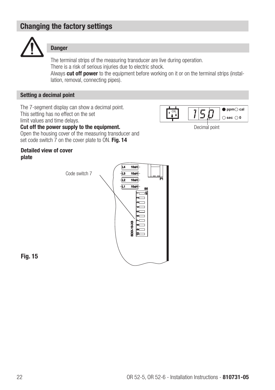## Changing the factory settings



#### Danger

The terminal strips of the measuring transducer are live during operation. There is a risk of serious injuries due to electric shock. Always cut off power to the equipment before working on it or on the terminal strips (instal-

lation, removal, connecting pipes).

#### Setting a decimal point

The 7-segment display can show a decimal point. This setting has no effect on the set limit values and time delays.



Cut off the power supply to the equipment.

Open the housing cover of the measuring transducer and set code switch  $\overline{7}$  on the cover plate to ON. Fig. 14

#### Detailed view of cover plate



Fig. 15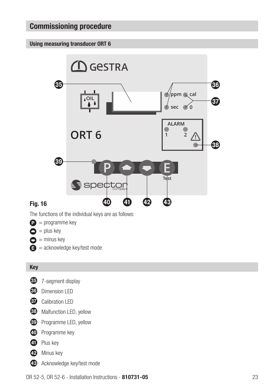#### Using measuring transducer ORT 6



The functions of the individual keys are as follows:

- $\bullet$  = programme key
- $\bullet$  = plus key

Fig. 16

- $\bullet$  = minus key
- $\bullet$  = acknowledge key/test mode

#### Key

- y 7-segment display
- **30** Dimension LED
- **GD** Calibration LED
- **B** Malfunction LED, yellow
- **CO** Programme LED, yellow
- D Programme key
- **ED** Plus key
- **12** Minus key
- G Acknowledge key/test mode

OR 52-5, OR 52-6 - Installation Instructions - 810731-05 23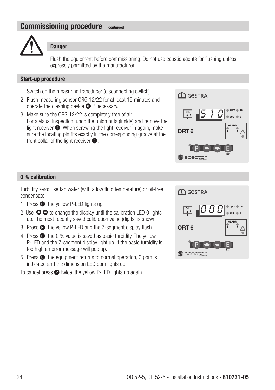

#### **Danger**

Flush the equipment before commissioning. Do not use caustic agents for flushing unless expressly permitted by the manufacturer.

#### Start-up procedure

- 1. Switch on the measuring transducer (disconnecting switch).
- 2. Flush measuring sensor ORG 12/22 for at least 15 minutes and operate the cleaning device  $\bullet$  if necessary.
- 3. Make sure the ORG 12/22 is completely free of air. For a visual inspection, undo the union nuts (inside) and remove the light receiver  $\bullet$ . When screwing the light receiver in again, make sure the locating pin fits exactly in the corresponding groove at the front collar of the light receiver  $\bigcirc$ .



#### 0 % calibration

Turbidity zero: Use tap water (with a low fluid temperature) or oil-free condensate.

- 1. Press  $\bullet$ , the vellow P-LED lights up.
- 2. Use  $\bullet\bullet$  to change the display until the calibration LED 0 lights up. The most recently saved calibration value (digits) is shown.
- 3. Press **Q**, the yellow P-LED and the 7-segment display flash.
- 4. Press  $\bullet$ , the 0 % value is saved as basic turbidity. The vellow P-LED and the 7-segment display light up. If the basic turbidity is too high an error message will pop up.
- 5. Press  $\bigcirc$ , the equipment returns to normal operation, 0 ppm is indicated and the dimension LED ppm lights up.
- To cancel press  $\bullet$  twice, the yellow P-LED lights up again.

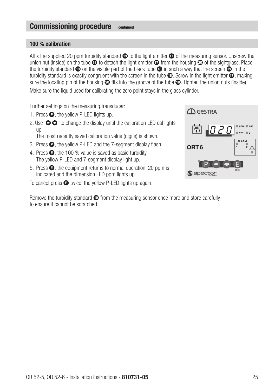#### 100 % calibration

Affix the supplied 20 ppm turbidity standard  $\bullet$  to the light emitter  $\bullet$  of the measuring sensor. Unscrew the union nut (inside) on the tube  $\bullet$  to detach the light emitter  $\bullet$  from the housing  $\bullet$  of the sightglass. Place the turbidity standard  $\bullet$  on the visible part of the black tube  $\bullet$  in such a way that the screen  $\bullet$  in the turbidity standard is exactly congruent with the screen in the tube  $\omega$ . Screw in the light emitter  $\omega$ , making sure the locating pin of the housing  $\circledcirc$  fits into the groove of the tube  $\circledcirc$ . Tighten the union nuts (inside). Make sure the liquid used for calibrating the zero point stays in the glass cylinder.

Further settings on the measuring transducer:

- 1. Press  $\bullet$ , the yellow P-LED lights up.
- 2. Use  $\bullet\bullet$  to change the display until the calibration LED cal lights  $\mathsf{I}$

The most recently saved calibration value (digits) is shown.

- 3. Press  $\bullet$ , the yellow P-LED and the 7-segment display flash.
- 4. Press  $\bullet$ , the 100 % value is saved as basic turbidity. The yellow P-LED and 7-segment display light up.
- 5. Press  $\bigcirc$ , the equipment returns to normal operation, 20 ppm is indicated and the dimension LED ppm lights up.
- To cancel press  $\bullet$  twice, the yellow P-LED lights up again.

Remove the turbidity standard  $\bullet$  from the measuring sensor once more and store carefully to ensure it cannot be scratched.

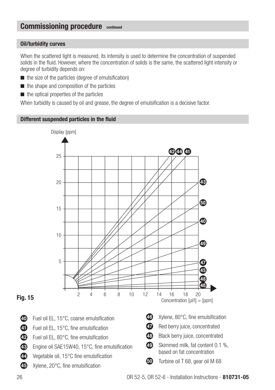#### Oil/turbidity curves

When the scattered light is measured, its intensity is used to determine the concentration of suspended solids in the fluid. However, where the concentration of solids is the same, the scattered light intensity or degree of turbidity depends on:

- $\blacksquare$  the size of the particles (degree of emulsification)
- $\blacksquare$  the shape and composition of the particles
- $\blacksquare$  the optical properties of the particles

When turbidity is caused by oil and grease, the degree of emulsification is a decisive factor.

#### Different suspended particles in the fluid



#### Fig. 15

- 40 Fuel oil EL, 15°C, coarse emulsification
- **41** Fuel oil EL, 15°C, fine emulsification
- **42** Fuel oil EL, 80°C, fine emulsification
- GB Engine oil SAE15W40, 15°C, fine emulsification
- **49** Vegetable oil, 15°C fine emulsification
- 45 Xylene, 20°C, fine emulsification
- M Skimmed milk, fat content 0.1 %,
- GO Turbine oil T 68, gear oil M 68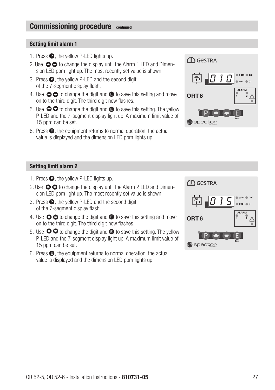#### Setting limit alarm 1

- 1. Press  $\bullet$ , the yellow P-LED lights up.
- 2. Use  $\bigcirc$   $\bigcirc$  to change the display until the Alarm 1 LED and Dimension LED ppm light up. The most recently set value is shown.
- 3. Press  $\bullet$ , the yellow P-LED and the second digit of the 7-segment display flash.
- 4. Use  $\bullet\bullet$  to change the digit and  $\bullet$  to save this setting and move on to the third digit. The third digit now flashes.
- 5. Use  $\bullet\bullet$  to change the digit and  $\bullet$  to save this setting. The yellow P-LED and the 7-segment display light up. A maximum limit value of 15 ppm can be set.
- 6. Press E, the equipment returns to normal operation, the actual value is displayed and the dimension LED ppm lights up.



#### Setting limit alarm 2

- 1. Press  $\bullet$ , the yellow P-LED lights up.
- 2. Use  $\bullet$   $\bullet$  to change the display until the Alarm 2 LED and Dimension LED ppm light up. The most recently set value is shown.
- 3. Press  $\bullet$ , the yellow P-LED and the second digit of the 7-segment display flash.
- 4. Use  $\bigcirc$   $\bigcirc$  to change the digit and  $\bigcirc$  to save this setting and move on to the third digit. The third digit now flashes.
- 5. Use  $\bullet\bullet$  to change the digit and  $\bullet$  to save this setting. The yellow P-LED and the 7-segment display light up. A maximum limit value of 15 ppm can be set.
- 6. Press  $\bigcirc$ , the equipment returns to normal operation, the actual value is displayed and the dimension LED ppm lights up.

| <b>ID</b> GeSTRA      |                                     |
|-----------------------|-------------------------------------|
| 10 <u>1 -</u><br>,OIL | cal<br>ppm<br>$\overline{0}$<br>sec |
| ORT <sub>6</sub>      | <b>ALARM</b>                        |
| .<br>Spect            | <b>Test</b>                         |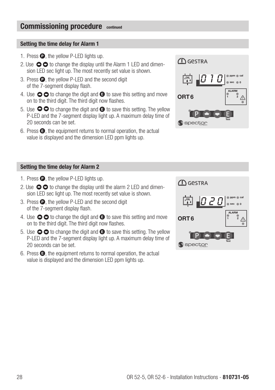#### Setting the time delay for Alarm 1

- 1. Press  $\bullet$ , the yellow P-LED lights up.
- 2. Use  $\bigcirc$   $\bigcirc$  to change the display until the Alarm 1 LED and dimension LED sec light up. The most recently set value is shown.
- 3. Press  $\bullet$ , the yellow P-LED and the second digit of the 7-segment display flash.
- 4. Use  $\bullet\bullet$  to change the digit and  $\bullet$  to save this setting and move on to the third digit. The third digit now flashes.
- 5. Use  $\bullet\bullet$  to change the digit and  $\bullet$  to save this setting. The yellow P-LED and the 7-segment display light up. A maximum delay time of 20 seconds can be set.
- 6. Press  $\bigcirc$ , the equipment returns to normal operation, the actual value is displayed and the dimension LED ppm lights up.



#### Setting the time delay for Alarm 2

- 1. Press  $\bullet$ , the yellow P-LED lights up.
- 2. Use  $\bullet\bullet$  to change the display until the alarm 2 LED and dimension LED sec light up. The most recently set value is shown.
- 3. Press  $\bullet$ , the vellow P-LED and the second digit of the 7-segment display flash.
- 4. Use  $\bullet$   $\bullet$  to change the digit and  $\bullet$  to save this setting and move on to the third digit. The third digit now flashes.
- 5. Use  $\bullet\bullet$  to change the digit and  $\bullet$  to save this setting. The yellow P-LED and the 7-segment display light up. A maximum delay time of 20 seconds can be set.
- 6. Press  $\bigcirc$ , the equipment returns to normal operation, the actual value is displayed and the dimension LED ppm lights up.

| <b>ID</b> GeSTRA         |                                       |
|--------------------------|---------------------------------------|
| 1020<br>$\overline{OIL}$ | cal<br>$\overline{\mathbf{0}}$<br>sec |
| ORT <sub>6</sub>         | <b>ALARM</b><br>$\overline{2}$        |
| Ject.<br>S               | Test                                  |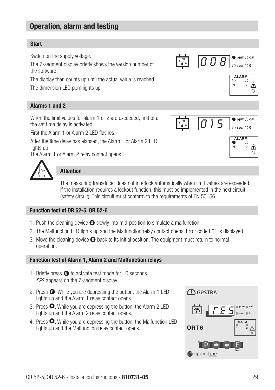## Operation, alarm and testing

#### Start

Switch on the supply voltage.

The 7-segment display briefly shows the version number of the software.

The display then counts up until the actual value is reached. The dimension LED ppm lights up.

#### Alarms 1 and 2

When the limit values for alarm 1 or 2 are exceeded, first of all the set time delay is activated.

First the Alarm 1 or Alarm 2 LED flashes.

After the time delay has elapsed, the Alarm 1 or Alarm 2 LED lights up.

The Alarm 1 or Alarm 2 relay contact opens.



#### **Attention**

The measuring transducer does not interlock automatically when limit values are exceeded. If the installation requires a lockout function, this must be implemented in the next circuit (safety circuit). This circuit must conform to the requirements of EN 50156.

#### Function test of OR 52-5, OR 52-6

- 1. Push the cleaning device <sup>3</sup> slowly into mid-position to simulate a malfunction.
- 2. The Malfunction LED lights up and the Malfunction relay contact opens. Error code E01 is displayed.
- 3. Move the cleaning device 8 back to its initial position. The equipment must return to normal operation.

#### Function test of Alarm 1, Alarm 2 and Malfunction relays

- 1. Briefly press  $\bigoplus$  to activate test mode for 10 seconds. **FES** appears on the 7-segment display.
- 2. Press  $\bullet$ . While you are depressing the button, the Alarm 1 LED lights up and the Alarm 1 relay contact opens.
- 3. Press  $\bullet$ . While you are depressing the button, the Alarm 2 LED lights up and the Alarm 2 relay contact opens.
- 4. Press  $\bullet$ . While you are depressing the button, the Malfunction LED lights up and the Malfunction relay contact opens.





 $\frac{1}{2}$   $\triangle$ 

 $\circ$ 

2  $\mathbb{A}$ 

ਨ

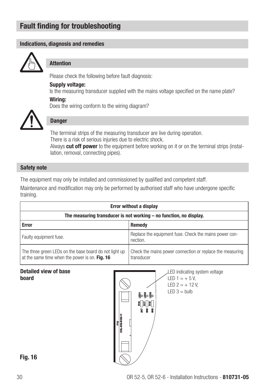## Fault finding for troubleshooting

#### Indications, diagnosis and remedies



#### **Attention**

Please check the following before fault diagnosis:

#### Supply voltage:

Is the measuring transducer supplied with the mains voltage specified on the name plate?

#### Wiring:

Does the wiring conform to the wiring diagram?



### **Danger**

The terminal strips of the measuring transducer are live during operation. There is a risk of serious injuries due to electric shock. Always cut off power to the equipment before working on it or on the terminal strips (installation, removal, connecting pipes).

#### Safety note

The equipment may only be installed and commissioned by qualified and competent staff.

Maintenance and modification may only be performed by authorised staff who have undergone specific training.

| <b>Error without a display</b>                                                                           |                                                                         |  |
|----------------------------------------------------------------------------------------------------------|-------------------------------------------------------------------------|--|
| The measuring transducer is not working – no function, no display.                                       |                                                                         |  |
| <b>Error</b>                                                                                             | <b>Remedy</b>                                                           |  |
| Faulty equipment fuse.                                                                                   | Replace the equipment fuse. Check the mains power con-<br>nection.      |  |
| The three green LEDs on the base board do not light up<br>at the same time when the power is on. Fig. 16 | Check the mains power connection or replace the measuring<br>transducer |  |

#### Detailed view of base board



#### LED indicating system voltage LED  $1 = +5V$ .

LED  $2 = +12$  V.  $LED.3 = hulb$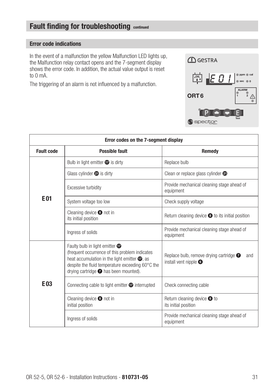## Fault finding for troubleshooting continued

#### Error code indications

In the event of a malfunction the yellow Malfunction LED lights up, the Malfunction relay contact opens and the 7-segment display shows the error code. In addition, the actual value output is reset to 0 mA.

The triggering of an alarm is not influenced by a malfunction.



| Error codes on the 7-segment display          |                                                                                                                                                                                                                                                                    |                                                                                         |  |
|-----------------------------------------------|--------------------------------------------------------------------------------------------------------------------------------------------------------------------------------------------------------------------------------------------------------------------|-----------------------------------------------------------------------------------------|--|
| <b>Fault code</b><br>Possible fault<br>Remedy |                                                                                                                                                                                                                                                                    |                                                                                         |  |
|                                               | Bulb in light emitter $\bullet$ is dirty                                                                                                                                                                                                                           | Replace bulb                                                                            |  |
|                                               | Glass cylinder $\bullet$ is dirty                                                                                                                                                                                                                                  | Clean or replace glass cylinder @                                                       |  |
|                                               | Excessive turbidity                                                                                                                                                                                                                                                | Provide mechanical cleaning stage ahead of<br>equipment                                 |  |
| E <sub>01</sub>                               | System voltage too low                                                                                                                                                                                                                                             | Check supply voltage                                                                    |  |
|                                               | Cleaning device $\bullet$ not in<br>its initial position                                                                                                                                                                                                           | Return cleaning device $\bullet$ to its initial position                                |  |
|                                               | Ingress of solids                                                                                                                                                                                                                                                  | Provide mechanical cleaning stage ahead of<br>equipment                                 |  |
| E <sub>03</sub>                               | Faulty bulb in light emitter $\boldsymbol{\varpi}$<br>(frequent occurrence of this problem indicates<br>heat accumulation in the light emitter $\bullet$ , as<br>despite the fluid temperature exceeding 60°C the<br>drying cartridge $\bullet$ has been mounted). | Replace bulb, remove drying cartridge $\bullet$<br>and<br>install vent nipple $\bullet$ |  |
|                                               | Connecting cable to light emitter $\bigcirc$ interrupted                                                                                                                                                                                                           | Check connecting cable                                                                  |  |
|                                               | Cleaning device $\bullet$ not in<br>initial position                                                                                                                                                                                                               | Return cleaning device <sup>o</sup> to<br>its initial position                          |  |
|                                               | Ingress of solids                                                                                                                                                                                                                                                  | Provide mechanical cleaning stage ahead of<br>equipment                                 |  |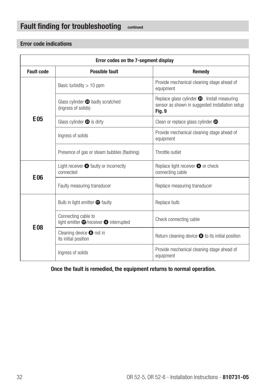## Fault finding for troubleshooting continued

### Error code indications

| Error codes on the 7-segment display          |                                                                                  |                                                                                                                   |  |
|-----------------------------------------------|----------------------------------------------------------------------------------|-------------------------------------------------------------------------------------------------------------------|--|
| <b>Fault code</b><br>Possible fault<br>Remedy |                                                                                  |                                                                                                                   |  |
|                                               | Basic turbidity $> 10$ ppm                                                       | Provide mechanical cleaning stage ahead of<br>equipment                                                           |  |
|                                               | Glass cylinder @ badly scratched<br>(ingress of solids)                          | Replace glass cylinder $\bullet$ . Install measuring<br>sensor as shown in suggested installation setup<br>Fig. 9 |  |
| E <sub>05</sub>                               | Glass cylinder $\bullet$ is dirty                                                | Clean or replace glass cylinder @                                                                                 |  |
|                                               | Ingress of solids                                                                | Provide mechanical cleaning stage ahead of<br>equipment                                                           |  |
|                                               | Presence of gas or steam bubbles (flashing)                                      | Throttle outlet                                                                                                   |  |
| <b>E06</b>                                    | Light receiver <b>O</b> faulty or incorrectly<br>connected                       | Replace light receiver 4 or check<br>connecting cable                                                             |  |
|                                               | Faulty measuring transducer                                                      | Replace measuring transducer                                                                                      |  |
|                                               | Bulb in light emitter $\bullet$ faulty                                           | Replace bulb                                                                                                      |  |
| <b>E08</b>                                    | Connecting cable to<br>light emitter $\bigcirc$ /receiver $\bigcirc$ interrupted | Check connecting cable                                                                                            |  |
|                                               | Cleaning device $\bullet$ not in<br>its initial position                         | Return cleaning device $\bullet$ to its initial position                                                          |  |
|                                               | Ingress of solids                                                                | Provide mechanical cleaning stage ahead of<br>equipment                                                           |  |

Once the fault is remedied, the equipment returns to normal operation.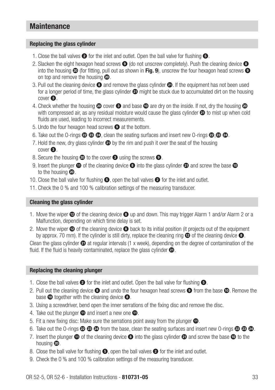## **Maintenance**

#### Replacing the glass cylinder

- 1. Close the ball valves  $\bullet$  for the inlet and outlet. Open the ball valve for flushing  $\bullet$ .
- 2. Slacken the eight hexagon head screws  $\bullet$  (do not unscrew completely). Push the cleaning device  $\bullet$ into the housing  $\omega$  (for fitting, pull out as shown in Fig. 9), unscrew the four hexagon head screws  $\Omega$ on top and remove the housing  $\mathbf{\odot}$ .
- 3. Pull out the cleaning device  $\bullet$  and remove the glass cylinder  $\bullet$ . If the equipment has not been used for a longer period of time, the glass cylinder  $\bigcirc$  might be stuck due to accumulated dirt on the housing  $cover **③**$ .
- 4. Check whether the housing  $\omega$  cover  $\odot$  and base  $\omega$  are dry on the inside. If not, dry the housing  $\omega$ with compressed air, as any residual moisture would cause the glass cylinder  $\bigcirc$  to mist up when cold fluids are used, leading to incorrect measurements.
- 5. Undo the four hexagon head screws  $\bullet$  at the bottom.
- 6. Take out the O-rings  $\otimes \otimes \otimes$ , clean the seating surfaces and insert new O-rings  $\otimes \otimes \otimes$ .
- 7. Hold the new, dry glass cylinder  $\bigcirc$  by the rim and push it over the seat of the housing  $cover$  $<sup>•</sup>$ </sup>
- 8. Secure the housing  $\omega$  to the cover  $\odot$  using the screws  $\odot$ .
- 9. Insert the plunger  $\bigcirc$  of the cleaning device  $\bigcirc$  into the glass cylinder  $\bigcirc$  and screw the base  $\bigcirc$ to the housing  $\mathbf{\circledcirc}$ .
- 10. Close the ball valve for flushing  $\bullet$ , open the ball valves  $\bullet$  for the inlet and outlet.
- 11. Check the 0 % and 100 % calibration settings of the measuring transducer.

#### Cleaning the glass cylinder

- 1. Move the wiper  $\bullet$  of the cleaning device  $\bullet$  up and down. This may trigger Alarm 1 and/or Alarm 2 or a Malfunction, depending on which time delay is set.
- 2. Move the wiper  $\bullet$  of the cleaning device  $\bullet$  back to its initial position (it projects out of the equipment by approx. 70 mm). If the cylinder is still dirty, replace the cleaning ring  $\bullet$  of the cleaning device  $\bullet$ .

Clean the glass cylinder  $\omega$  at regular intervals (1 x week), depending on the degree of contamination of the fluid. If the fluid is heavily contaminated, replace the glass cylinder  $\mathbf{\odot}$ .

#### Replacing the cleaning plunger

- 1. Close the ball valves  $\bullet$  for the inlet and outlet. Open the ball valve for flushing  $\bullet$ .
- 2. Pull out the cleaning device  $\bullet$  and undo the four hexagon head screws  $\bullet$  from the base  $\bullet$ . Remove the base  $\bullet$  together with the cleaning device  $\bullet$ .
- 3. Using a screwdriver, bend open the inner serrations of the fixing disc and remove the disc.
- 4. Take out the plunger  $\bigoplus$  and insert a new one  $\bigoplus$ .
- 5. Fit a new fixing disc: Make sure the serrations point away from the plunger  $\bigcirc$ .
- 6. Take out the O-rings  $\otimes \otimes \otimes$  from the base, clean the seating surfaces and insert new O-rings  $\otimes \otimes \otimes$ .
- 7. Insert the plunger  $\bigoplus$  of the cleaning device  $\bigoplus$  into the glass cylinder  $\bigoplus$  and screw the base  $\bigoplus$  to the housing  $\boldsymbol{\circledcirc}$ .
- 8. Close the ball valve for flushing  $\bullet$ , open the ball valves  $\bullet$  for the inlet and outlet.
- 9. Check the 0 % and 100 % calibration settings of the measuring transducer.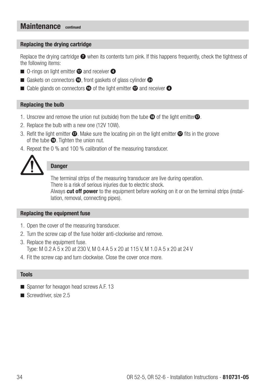## Maintenance continued

#### Replacing the drying cartridge

Replace the drying cartridge  $\bullet$  when its contents turn pink. If this happens frequently, check the tightness of the following items:

- $\blacksquare$  O-rings on light emitter  $\blacksquare$  and receiver  $\blacksquare$
- Gaskets on connectors  $\bullet$ , front gaskets of glass cylinder  $\bullet$
- $\blacksquare$  Cable glands on connectors  $\blacksquare$  of the light emitter  $\blacksquare$  and receiver  $\blacksquare$

#### Replacing the bulb

- 1. Unscrew and remove the union nut (outside) from the tube  $\mathbf \circledB$  of the light emitter $\mathbf \circledA$ .
- 2. Replace the bulb with a new one (12V 10W).
- 3. Refit the light emitter  $\bigcirc$ . Make sure the locating pin on the light emitter  $\bigcirc$  fits in the groove of the tube  $\bigcirc$ . Tighten the union nut.
- 4. Repeat the 0 % and 100 % calibration of the measuring transducer.



#### **Danger**

The terminal strips of the measuring transducer are live during operation. There is a risk of serious injuries due to electric shock. Always **cut off power** to the equipment before working on it or on the terminal strips (installation, removal, connecting pipes).

#### Replacing the equipment fuse

- 1. Open the cover of the measuring transducer.
- 2. Turn the screw cap of the fuse holder anti-clockwise and remove.
- 3. Replace the equipment fuse. Type: M 0.2 A 5 x 20 at 230 V, M 0.4 A 5 x 20 at 115 V, M 1.0 A 5 x 20 at 24 V
- 4. Fit the screw cap and turn clockwise. Close the cover once more.

#### Tools

- Spanner for hexagon head screws A.F. 13
- $\blacksquare$  Screwdriver, size 2.5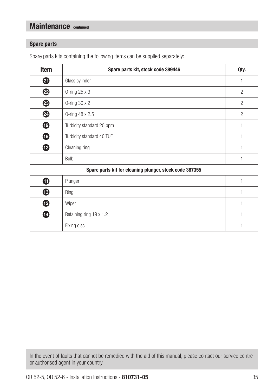## Maintenance continued

#### Spare parts

| Item                                                    | Spare parts kit, stock code 389446 | Qty.           |  |
|---------------------------------------------------------|------------------------------------|----------------|--|
| ❹                                                       | Glass cylinder                     | 1              |  |
| ❷                                                       | 0-ring 25 x 3                      | $\overline{2}$ |  |
| ❸                                                       | O-ring $30 \times 2$               | $\overline{2}$ |  |
| ❹                                                       | 0-ring 48 x 2.5                    | $\overline{2}$ |  |
| $\bf \Phi$                                              | Turbidity standard 20 ppm          | 1              |  |
| $\bf \Phi$                                              | Turbidity standard 40 TUF          | 1              |  |
| ⊕                                                       | Cleaning ring                      | 1              |  |
|                                                         | <b>Bulb</b>                        | 1              |  |
| Spare parts kit for cleaning plunger, stock code 387355 |                                    |                |  |
| ➊                                                       | Plunger                            | 1              |  |
| ⊕                                                       | Ring                               | 1              |  |
| ⊕                                                       | Wiper                              | 1              |  |
| ⊕                                                       | Retaining ring 19 x 1.2            | 1              |  |
|                                                         | Fixing disc                        | 1              |  |

Spare parts kits containing the following items can be supplied separately:

In the event of faults that cannot be remedied with the aid of this manual, please contact our service centre or authorised agent in your country.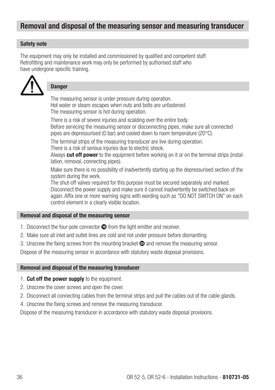## Removal and disposal of the measuring sensor and measuring transducer

#### Safety note

The equipment may only be installed and commissioned by qualified and competent staff. Retrofitting and maintenance work may only be performed by authorised staff who have undergone specific training.



#### **Danger**

The measuring sensor is under pressure during operation. Hot water or steam escapes when nuts and bolts are unfastened. The measuring sensor is hot during operation.

There is a risk of severe injuries and scalding over the entire body. Before servicing the measuring sensor or disconnecting pipes, make sure all connected pipes are depressurised (0 bar) and cooled down to room temperature (20°C).

The terminal strips of the measuring transducer are live during operation. There is a risk of serious injuries due to electric shock.

Always **cut off power** to the equipment before working on it or on the terminal strips (installation, removal, connecting pipes).

Make sure there is no possibility of inadvertently starting up the depressurised section of the system during the work.

The shut-off valves required for this purpose must be secured separately and marked. Disconnect the power supply and make sure it cannot inadvertently be switched back on again. Affix one or more warning signs with wording such as "DO NOT SWITCH ON" on each control element in a clearly visible location.

#### Removal and disposal of the measuring sensor

- 1. Disconnect the four-pole connector  $\bullet$  from the light emitter and receiver.
- 2. Make sure all inlet and outlet lines are cold and not under pressure before dismantling.
- 3. Unscrew the fixing screws from the mounting bracket  $\circledast$  and remove the measuring sensor.

Dispose of the measuring sensor in accordance with statutory waste disposal provisions.

#### Removal and disposal of the measuring transducer

- 1. Cut off the power supply to the equipment.
- 2. Unscrew the cover screws and open the cover.
- 2. Disconnect all connecting cables from the terminal strips and pull the cables out of the cable glands.
- 4. Unscrew the fixing screws and remove the measuring transducer.

Dispose of the measuring transducer in accordance with statutory waste disposal provisions.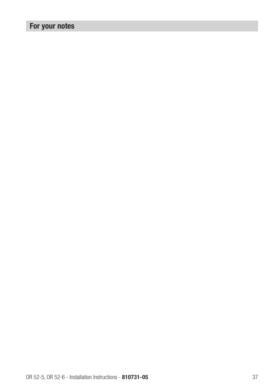# For your notes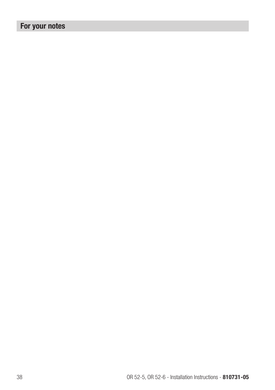# For your notes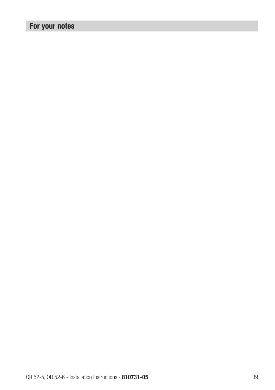# For your notes